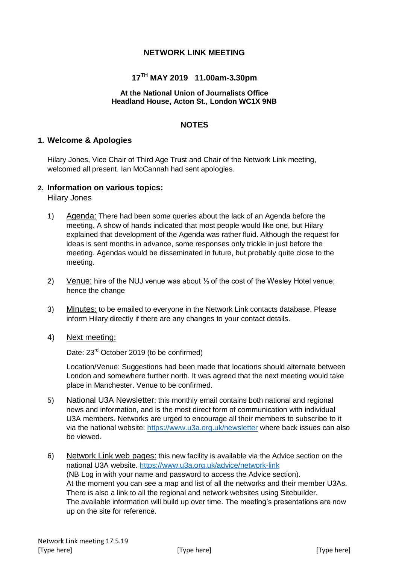## **NETWORK LINK MEETING**

# **17TH MAY 2019 11.00am-3.30pm**

#### **At the National Union of Journalists Office Headland House, Acton St., London WC1X 9NB**

#### **NOTES**

## **1. Welcome & Apologies**

Hilary Jones, Vice Chair of Third Age Trust and Chair of the Network Link meeting, welcomed all present. Ian McCannah had sent apologies.

#### **2. Information on various topics:**

Hilary Jones

- 1) Agenda: There had been some queries about the lack of an Agenda before the meeting. A show of hands indicated that most people would like one, but Hilary explained that development of the Agenda was rather fluid. Although the request for ideas is sent months in advance, some responses only trickle in just before the meeting. Agendas would be disseminated in future, but probably quite close to the meeting.
- 2) Venue: hire of the NUJ venue was about ⅓ of the cost of the Wesley Hotel venue; hence the change
- 3) Minutes: to be emailed to everyone in the Network Link contacts database. Please inform Hilary directly if there are any changes to your contact details.
- 4) Next meeting:

Date: 23<sup>rd</sup> October 2019 (to be confirmed)

Location/Venue: Suggestions had been made that locations should alternate between London and somewhere further north. It was agreed that the next meeting would take place in Manchester. Venue to be confirmed.

- 5) National U3A Newsletter: this monthly email contains both national and regional news and information, and is the most direct form of communication with individual U3A members. Networks are urged to encourage all their members to subscribe to it via the national website:<https://www.u3a.org.uk/newsletter> where back issues can also be viewed.
- 6) Network Link web pages: this new facility is available via the Advice section on the national U3A website.<https://www.u3a.org.uk/advice/network-link> (NB Log in with your name and password to access the Advice section). At the moment you can see a map and list of all the networks and their member U3As. There is also a link to all the regional and network websites using Sitebuilder. The available information will build up over time. The meeting's presentations are now up on the site for reference.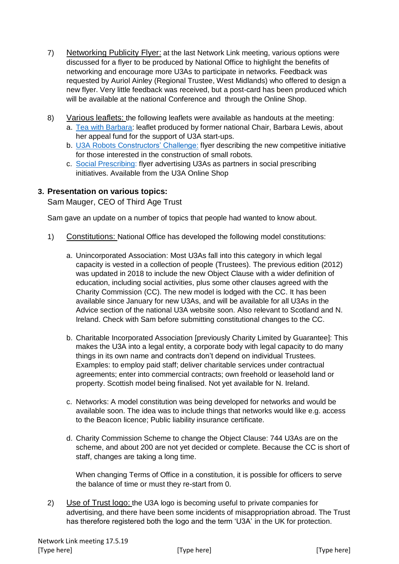- 7) Networking Publicity Flyer: at the last Network Link meeting, various options were discussed for a flyer to be produced by National Office to highlight the benefits of networking and encourage more U3As to participate in networks. Feedback was requested by Auriol Ainley (Regional Trustee, West Midlands) who offered to design a new flyer. Very little feedback was received, but a post-card has been produced which will be available at the national Conference and through the Online Shop.
- 8) Various leaflets: the following leaflets were available as handouts at the meeting:
	- a. [Tea with Barbara:](https://u3asites.org.uk/files/s/saxon-shore/docs/teawithbarbaraappeal.pdf) leaflet produced by former national Chair, Barbara Lewis, about her appeal fund for the support of U3A start-ups.
	- b. [U3A Robots Constructors' Challenge:](https://u3asites.org.uk/cannock-chase/page/92257) flyer describing the new competitive initiative for those interested in the construction of small robots.
	- c. [Social Prescribing:](https://www.u3a.org.uk/resources/shop/Social-Prescribing-Leaflet-File-Download-p138646058) flyer advertising U3As as partners in social prescribing initiatives. Available from the U3A Online Shop

# **3. Presentation on various topics:**

Sam Mauger, CEO of Third Age Trust

Sam gave an update on a number of topics that people had wanted to know about.

- 1) Constitutions: National Office has developed the following model constitutions:
	- a. Unincorporated Association: Most U3As fall into this category in which legal capacity is vested in a collection of people (Trustees). The previous edition (2012) was updated in 2018 to include the new Object Clause with a wider definition of education, including social activities, plus some other clauses agreed with the Charity Commission (CC). The new model is lodged with the CC. It has been available since January for new U3As, and will be available for all U3As in the Advice section of the national U3A website soon. Also relevant to Scotland and N. Ireland. Check with Sam before submitting constitutional changes to the CC.
	- b. Charitable Incorporated Association [previously Charity Limited by Guarantee]: This makes the U3A into a legal entity, a corporate body with legal capacity to do many things in its own name and contracts don't depend on individual Trustees. Examples: to employ paid staff; deliver charitable services under contractual agreements; enter into commercial contracts; own freehold or leasehold land or property. Scottish model being finalised. Not yet available for N. Ireland.
	- c. Networks: A model constitution was being developed for networks and would be available soon. The idea was to include things that networks would like e.g. access to the Beacon licence; Public liability insurance certificate.
	- d. Charity Commission Scheme to change the Object Clause: 744 U3As are on the scheme, and about 200 are not yet decided or complete. Because the CC is short of staff, changes are taking a long time.

When changing Terms of Office in a constitution, it is possible for officers to serve the balance of time or must they re-start from 0.

2) Use of Trust logo: the U3A logo is becoming useful to private companies for advertising, and there have been some incidents of misappropriation abroad. The Trust has therefore registered both the logo and the term 'U3A' in the UK for protection.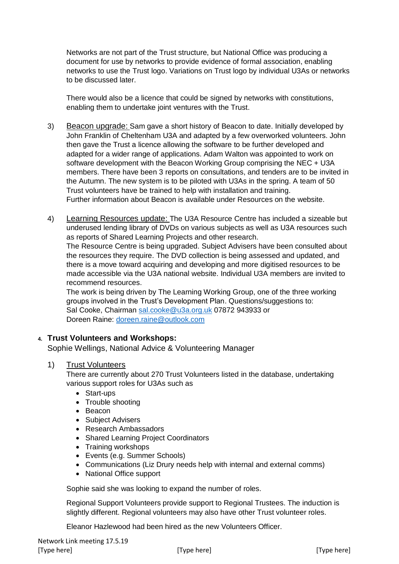Networks are not part of the Trust structure, but National Office was producing a document for use by networks to provide evidence of formal association, enabling networks to use the Trust logo. Variations on Trust logo by individual U3As or networks to be discussed later.

There would also be a licence that could be signed by networks with constitutions, enabling them to undertake joint ventures with the Trust.

- 3) Beacon upgrade: Sam gave a short history of Beacon to date. Initially developed by John Franklin of Cheltenham U3A and adapted by a few overworked volunteers. John then gave the Trust a licence allowing the software to be further developed and adapted for a wider range of applications. Adam Walton was appointed to work on software development with the Beacon Working Group comprising the NEC + U3A members. There have been 3 reports on consultations, and tenders are to be invited in the Autumn. The new system is to be piloted with U3As in the spring. A team of 50 Trust volunteers have be trained to help with installation and training. Further information about Beacon is available under Resources on the website.
- 4) Learning Resources update: The U3A Resource Centre has included a sizeable but underused lending library of DVDs on various subjects as well as U3A resources such as reports of Shared Learning Projects and other research.

The Resource Centre is being upgraded. Subject Advisers have been consulted about the resources they require. The DVD collection is being assessed and updated, and there is a move toward acquiring and developing and more digitised resources to be made accessible via the U3A national website. Individual U3A members are invited to recommend resources.

The work is being driven by The Learning Working Group, one of the three working groups involved in the Trust's Development Plan. Questions/suggestions to: Sal Cooke, Chairman [sal.cooke@u3a.org.uk](mailto:sal.cooke@u3a.org.uk) 07872 943933 or Doreen Raine: [doreen.raine@outlook.com](mailto:doreen.raine@outlook.com)

## **4. Trust Volunteers and Workshops:**

Sophie Wellings, National Advice & Volunteering Manager

## 1) Trust Volunteers

There are currently about 270 Trust Volunteers listed in the database, undertaking various support roles for U3As such as

- Start-ups
- Trouble shooting
- Beacon
- Subject Advisers
- Research Ambassadors
- Shared Learning Project Coordinators
- Training workshops
- Events (e.g. Summer Schools)
- Communications (Liz Drury needs help with internal and external comms)
- National Office support

Sophie said she was looking to expand the number of roles.

Regional Support Volunteers provide support to Regional Trustees. The induction is slightly different. Regional volunteers may also have other Trust volunteer roles.

Eleanor Hazlewood had been hired as the new Volunteers Officer.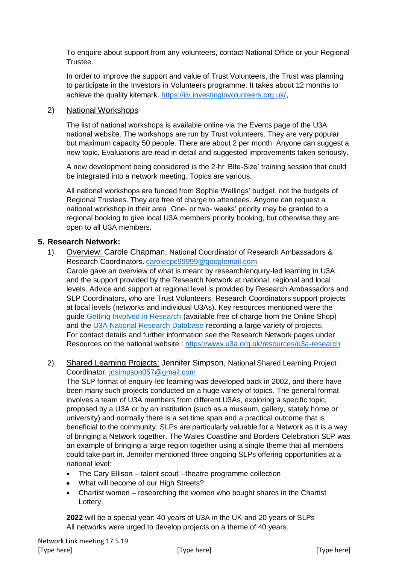To enquire about support from any volunteers, contact National Office or your Regional Trustee.

In order to improve the support and value of Trust Volunteers, the Trust was planning to participate in the Investors in Volunteers programme. It takes about 12 months to achieve the quality kitemark.<https://iiv.investinginvolunteers.org.uk/>,

## 2) National Workshops

The list of national workshops is available online via the Events page of the U3A national website. The workshops are run by Trust volunteers. They are very popular but maximum capacity 50 people. There are about 2 per month. Anyone can suggest a new topic. Evaluations are read in detail and suggested improvements taken seriously.

A new development being considered is the 2-hr 'Bite-Size' training session that could be integrated into a network meeting. Topics are various.

All national workshops are funded from Sophie Wellings' budget, not the budgets of Regional Trustees. They are free of charge to attendees. Anyone can request a national workshop in their area. One- or two- weeks' priority may be granted to a regional booking to give local U3A members priority booking, but otherwise they are open to all U3A members.

# **5. Research Network:**

1) Overview: Carole Chapman, National Coordinator of Research Ambassadors & Research Coordinators. [carolecpc99999@googlemail.com](mailto:carolecpc99999@googlemail.com)

Carole gave an overview of what is meant by research/enquiry-led learning in U3A, and the support provided by the Research Network at national, regional and local levels. Advice and support at regional level is provided by Research Ambassadors and SLP Coordinators, who are Trust Volunteers. Research Coordinators support projects at local levels (networks and individual U3As). Key resources mentioned were the guide [Getting Involved in Research](https://www.u3a.org.uk/documents/documents/resources/subjects-1/research/1015-research-guide) (available free of charge from the Online Shop) and the [U3A National Research Database](https://u3aresearch.org.uk/) recording a large variety of projects. For contact details and further information see the Research Network pages under Resources on the national website :<https://www.u3a.org.uk/resources/u3a-research>

2) Shared Learning Projects: Jennifer Simpson, National Shared Learning Project Coordinator. [jdsimpson057@gmail.com](mailto:jdsimpson057@gmail.com)

The SLP format of enquiry-led learning was developed back in 2002, and there have been many such projects conducted on a huge variety of topics. The general format involves a team of U3A members from different U3As, exploring a specific topic, proposed by a U3A or by an institution (such as a museum, gallery, stately home or university) and normally there is a set time span and a practical outcome that is beneficial to the community. SLPs are particularly valuable for a Network as it is a way of bringing a Network together. The Wales Coastline and Borders Celebration SLP was an example of bringing a large region together using a single theme that all members could take part in. Jennifer mentioned three ongoing SLPs offering opportunities at a national level:

- The Cary Ellison talent scout --theatre programme collection
- What will become of our High Streets?
- Chartist women researching the women who bought shares in the Chartist Lottery.

**2022** will be a special year: 40 years of U3A in the UK and 20 years of SLPs All networks were urged to develop projects on a theme of 40 years.